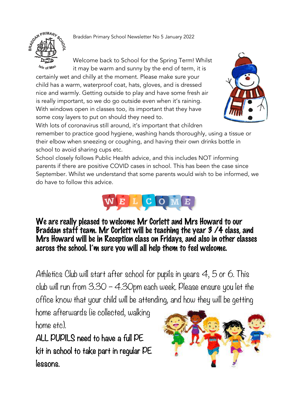Braddan Primary School Newsletter No 5 January 2022



Welcome back to School for the Spring Term! Whilst it may be warm and sunny by the end of term, it is

certainly wet and chilly at the moment. Please make sure your child has a warm, waterproof coat, hats, gloves, and is dressed nice and warmly. Getting outside to play and have some fresh air is really important, so we do go outside even when it's raining. With windows open in classes too, its important that they have some cosy layers to put on should they need to.



With lots of coronavirus still around, it's important that children remember to practice good hygiene, washing hands thoroughly, using a tissue or their elbow when sneezing or coughing, and having their own drinks bottle in school to avoid sharing cups etc.

School closely follows Public Health advice, and this includes NOT informing parents if there are positive COVID cases in school. This has been the case since September. Whilst we understand that some parents would wish to be informed, we do have to follow this advice.



We are really pleased to welcome Mr Corlett and Mrs Howard to our Braddan staff team. Mr Corlett will be teaching the year 3 /4 class, and Mrs Howard will be in Reception class on Fridays, and also in other classes across the school. I'm sure you will all help them to feel welcome.

Athletics Club will start after school for pupils in years 4, 5 or 6. This club will run from 3.30 – 4.30pm each week. Please ensure you let the office know that your child will be attending, and how they will be getting

home afterwards (ie collected, walking home etc).

ALL PUPILS need to have a full PE kit in school to take part in regular PE lessons.